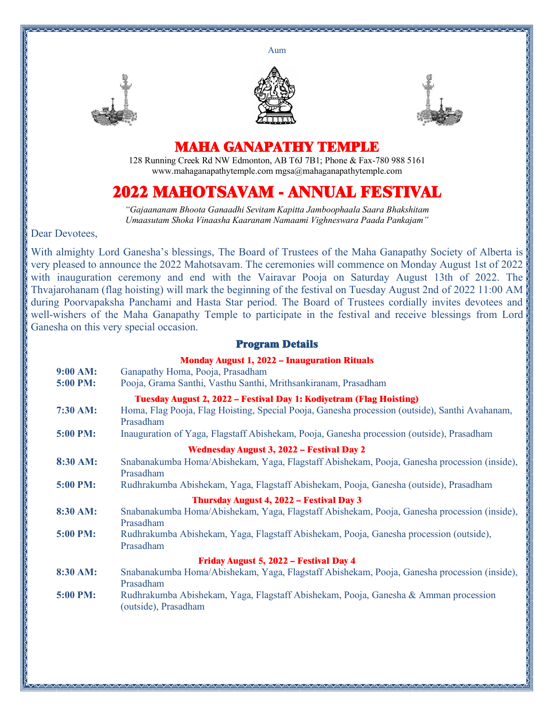Aum







## **MAHA GANAPATHY TEMPLE**

128 Running Creek Rd NW Edmonton, AB T6J 7B1; Phone & Fax-780 988 5161 www.mahaganapathytemple.com mgsa@mahaganapathytemple.com

## **2022 MAHOTSAVAM - ANNUAL FESTIVAL**

*"Gajaananam Bhoota Ganaadhi Sevitam Kapitta Jamboophaala Saara Bhakshitam Umaasutam Shoka Vinaasha Kaaranam Namaami Vighneswara Paada Pankajam"*

Dear Devotees,

With almighty Lord Ganesha's blessings, The Board of Trustees of the Maha Ganapathy Society of Alberta is very pleased to announce the 2022 Mahotsavam. The ceremonies will commence on Monday August 1st of 2022 with inauguration ceremony and end with the Vairavar Pooja on Saturday August 13th of 2022. The Thvajarohanam (flag hoisting) will mark the beginning of the festival on Tuesday August 2nd of 2022 11:00 AM during Poorvapaksha Panchami and Hasta Star period. The Board of Trustees cordially invites devotees and well-wishers of the Maha Ganapathy Temple to participate in the festival and receive blessings from Lord Ganesha on this very special occasion.

## **Program Details**

| 9:00 AM:<br>5:00 PM:                             | <b>Monday August 1, 2022 - Inauguration Rituals</b><br>Ganapathy Homa, Pooja, Prasadham<br>Pooja, Grama Santhi, Vasthu Santhi, Mrithsankiranam, Prasadham                          |  |
|--------------------------------------------------|------------------------------------------------------------------------------------------------------------------------------------------------------------------------------------|--|
| 7:30 AM:                                         | Tuesday August 2, 2022 - Festival Day 1: Kodiyetram (Flag Hoisting)<br>Homa, Flag Pooja, Flag Hoisting, Special Pooja, Ganesha procession (outside), Santhi Avahanam,<br>Prasadham |  |
| 5:00 PM:                                         | Inauguration of Yaga, Flagstaff Abishekam, Pooja, Ganesha procession (outside), Prasadham                                                                                          |  |
| <b>Wednesday August 3, 2022 - Festival Day 2</b> |                                                                                                                                                                                    |  |
| 8:30 AM:                                         | Snabanakumba Homa/Abishekam, Yaga, Flagstaff Abishekam, Pooja, Ganesha procession (inside),<br>Prasadham                                                                           |  |
| 5:00 PM:                                         | Rudhrakumba Abishekam, Yaga, Flagstaff Abishekam, Pooja, Ganesha (outside), Prasadham                                                                                              |  |
| Thursday August 4, 2022 - Festival Day 3         |                                                                                                                                                                                    |  |
| 8:30 AM:                                         | Snabanakumba Homa/Abishekam, Yaga, Flagstaff Abishekam, Pooja, Ganesha procession (inside),<br>Prasadham                                                                           |  |
| 5:00 PM:                                         | Rudhrakumba Abishekam, Yaga, Flagstaff Abishekam, Pooja, Ganesha procession (outside),<br>Prasadham                                                                                |  |
| Friday August 5, 2022 - Festival Day 4           |                                                                                                                                                                                    |  |
| 8:30 AM:                                         | Snabanakumba Homa/Abishekam, Yaga, Flagstaff Abishekam, Pooja, Ganesha procession (inside),<br>Prasadham                                                                           |  |
| 5:00 PM:                                         | Rudhrakumba Abishekam, Yaga, Flagstaff Abishekam, Pooja, Ganesha & Amman procession<br>(outside), Prasadham                                                                        |  |